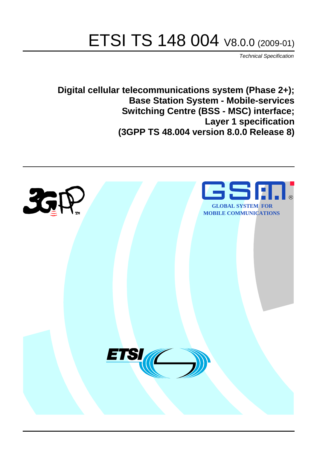# ETSI TS 148 004 V8.0.0 (2009-01)

*Technical Specification*

**Digital cellular telecommunications system (Phase 2+); Base Station System - Mobile-services Switching Centre (BSS - MSC) interface; Layer 1 specification (3GPP TS 48.004 version 8.0.0 Release 8)**

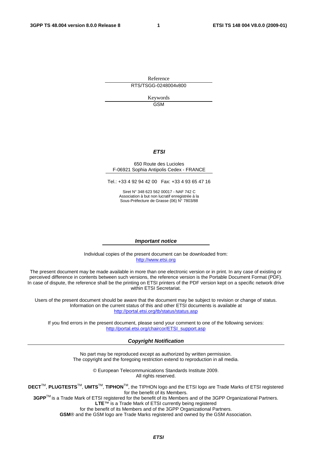Reference RTS/TSGG-0248004v800

> Keywords GSM

#### *ETSI*

#### 650 Route des Lucioles F-06921 Sophia Antipolis Cedex - FRANCE

Tel.: +33 4 92 94 42 00 Fax: +33 4 93 65 47 16

Siret N° 348 623 562 00017 - NAF 742 C Association à but non lucratif enregistrée à la Sous-Préfecture de Grasse (06) N° 7803/88

#### *Important notice*

Individual copies of the present document can be downloaded from: [http://www.etsi.org](http://www.etsi.org/)

The present document may be made available in more than one electronic version or in print. In any case of existing or perceived difference in contents between such versions, the reference version is the Portable Document Format (PDF). In case of dispute, the reference shall be the printing on ETSI printers of the PDF version kept on a specific network drive within ETSI Secretariat.

Users of the present document should be aware that the document may be subject to revision or change of status. Information on the current status of this and other ETSI documents is available at <http://portal.etsi.org/tb/status/status.asp>

If you find errors in the present document, please send your comment to one of the following services: [http://portal.etsi.org/chaircor/ETSI\\_support.asp](http://portal.etsi.org/chaircor/ETSI_support.asp)

#### *Copyright Notification*

No part may be reproduced except as authorized by written permission. The copyright and the foregoing restriction extend to reproduction in all media.

> © European Telecommunications Standards Institute 2009. All rights reserved.

**DECT**TM, **PLUGTESTS**TM, **UMTS**TM, **TIPHON**TM, the TIPHON logo and the ETSI logo are Trade Marks of ETSI registered for the benefit of its Members.

**3GPP**TM is a Trade Mark of ETSI registered for the benefit of its Members and of the 3GPP Organizational Partners. **LTE**™ is a Trade Mark of ETSI currently being registered

for the benefit of its Members and of the 3GPP Organizational Partners.

**GSM**® and the GSM logo are Trade Marks registered and owned by the GSM Association.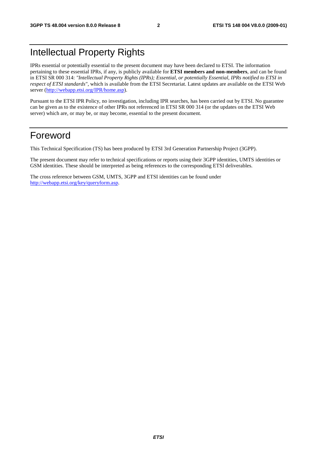### Intellectual Property Rights

IPRs essential or potentially essential to the present document may have been declared to ETSI. The information pertaining to these essential IPRs, if any, is publicly available for **ETSI members and non-members**, and can be found in ETSI SR 000 314: *"Intellectual Property Rights (IPRs); Essential, or potentially Essential, IPRs notified to ETSI in respect of ETSI standards"*, which is available from the ETSI Secretariat. Latest updates are available on the ETSI Web server ([http://webapp.etsi.org/IPR/home.asp\)](http://webapp.etsi.org/IPR/home.asp).

Pursuant to the ETSI IPR Policy, no investigation, including IPR searches, has been carried out by ETSI. No guarantee can be given as to the existence of other IPRs not referenced in ETSI SR 000 314 (or the updates on the ETSI Web server) which are, or may be, or may become, essential to the present document.

#### Foreword

This Technical Specification (TS) has been produced by ETSI 3rd Generation Partnership Project (3GPP).

The present document may refer to technical specifications or reports using their 3GPP identities, UMTS identities or GSM identities. These should be interpreted as being references to the corresponding ETSI deliverables.

The cross reference between GSM, UMTS, 3GPP and ETSI identities can be found under [http://webapp.etsi.org/key/queryform.asp.](http://webapp.etsi.org/key/queryform.asp)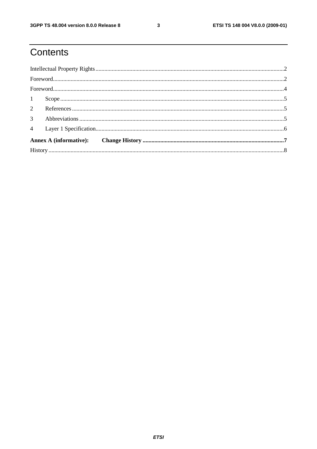### Contents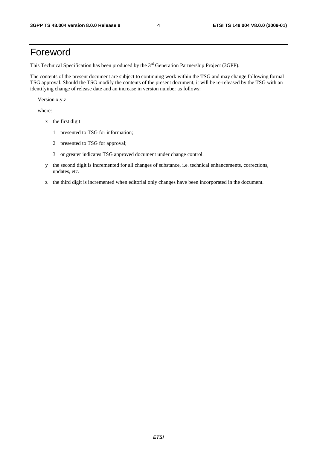### Foreword

This Technical Specification has been produced by the 3<sup>rd</sup> Generation Partnership Project (3GPP).

The contents of the present document are subject to continuing work within the TSG and may change following formal TSG approval. Should the TSG modify the contents of the present document, it will be re-released by the TSG with an identifying change of release date and an increase in version number as follows:

Version x.y.z

where:

- x the first digit:
	- 1 presented to TSG for information;
	- 2 presented to TSG for approval;
	- 3 or greater indicates TSG approved document under change control.
- y the second digit is incremented for all changes of substance, i.e. technical enhancements, corrections, updates, etc.
- z the third digit is incremented when editorial only changes have been incorporated in the document.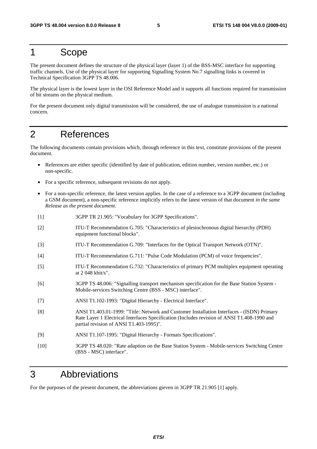#### 1 Scope

The present document defines the structure of the physical layer (layer 1) of the BSS-MSC interface for supporting traffic channels. Use of the physical layer for supporting Signalling System No.7 signalling links is covered in Technical Specification 3GPP TS 48.006.

The physical layer is the lowest layer in the OSI Reference Model and it supports all functions required for transmission of bit streams on the physical medium.

For the present document only digital transmission will be considered, the use of analogue transmission is a national concern.

#### 2 References

The following documents contain provisions which, through reference in this text, constitute provisions of the present document.

- References are either specific (identified by date of publication, edition number, version number, etc.) or non-specific.
- For a specific reference, subsequent revisions do not apply.
- For a non-specific reference, the latest version applies. In the case of a reference to a 3GPP document (including a GSM document), a non-specific reference implicitly refers to the latest version of that document *in the same Release as the present document*.
- [1] 3GPP TR 21.905: "Vocabulary for 3GPP Specifications".
- [2] ITU-T Recommendation G.705: "Characteristics of plesiochronous digital hierarchy (PDH) equipment functional blocks".
- [3] ITU-T Recommendation G.709: "Interfaces for the Optical Transport Network (OTN)".
- [4] ITU-T Recommendation G.711: "Pulse Code Modulation (PCM) of voice frequencies".
- [5] ITU-T Recommendation G.732: "Characteristics of primary PCM multiplex equipment operating at 2 048 kbit/s".
- [6] 3GPP TS 48.006: "Signalling transport mechanism specification for the Base Station System Mobile-services Switching Centre (BSS - MSC) interface".
- [7] ANSI T1.102-1993: "Digital Hierarchy Electrical Interface".
- [8] ANSI T1.403.01-1999: "Title: Network and Customer Installation Interfaces (ISDN) Primary Rate Layer 1 Electrical Interfaces Specification (Includes revision of ANSI T1.408-1990 and partial revision of ANSI T1.403-1995)".
- [9] ANSI T1.107-1995: "Digital Hierarchy Formats Specifications".
- [10] 3GPP TS 48.020: "Rate adaption on the Base Station System Mobile-services Switching Centre (BSS - MSC) interface".

#### 3 Abbreviations

For the purposes of the present document, the abbreviations gieven in 3GPP TR 21.905 [1] apply.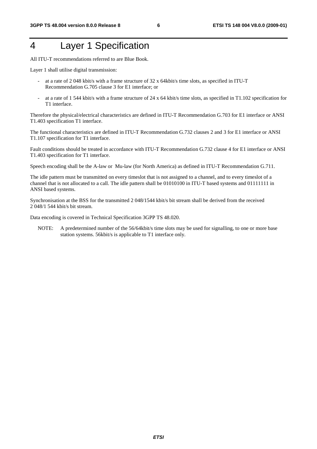### 4 Layer 1 Specification

All ITU-T recommendations referred to are Blue Book.

Layer 1 shall utilise digital transmission:

- at a rate of 2 048 kbit/s with a frame structure of 32 x 64kbit/s time slots, as specified in ITU-T Recommendation G.705 clause 3 for E1 interface; or
- at a rate of 1 544 kbit/s with a frame structure of 24 x 64 kbit/s time slots, as specified in T1.102 specification for T1 interface.

Therefore the physical/electrical characteristics are defined in ITU-T Recommendation G.703 for E1 interface or ANSI T1.403 specification T1 interface.

The functional characteristics are defined in ITU-T Recommendation G.732 clauses 2 and 3 for E1 interface or ANSI T1.107 specification for T1 interface.

Fault conditions should be treated in accordance with ITU-T Recommendation G.732 clause 4 for E1 interface or ANSI T1.403 specification for T1 interface.

Speech encoding shall be the A-law or Mu-law (for North America) as defined in ITU-T Recommendation G.711.

The idle pattern must be transmitted on every timeslot that is not assigned to a channel, and to every timeslot of a channel that is not allocated to a call. The idle pattern shall be 01010100 in ITU-T based systems and 01111111 in ANSI based systems.

Synchronisation at the BSS for the transmitted 2 048/1544 kbit/s bit stream shall be derived from the received 2 048/1 544 kbit/s bit stream.

Data encoding is covered in Technical Specification 3GPP TS 48.020.

NOTE: A predetermined number of the 56/64 kbit/s time slots may be used for signalling, to one or more base station systems. 56kbit/s is applicable to T1 interface only.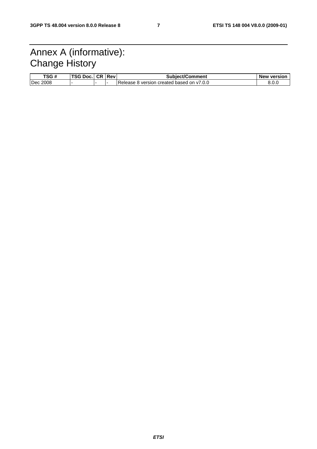### Annex A (informative): Change History

| TSG#        | TSG Doc. | ∣ CR | Rev | <b>Subject/Comment</b>                       | <b>New version</b> |
|-------------|----------|------|-----|----------------------------------------------|--------------------|
| 2008<br>Dec |          |      | . . | version created based on v7.0.0<br>Release & | 8.0.0              |